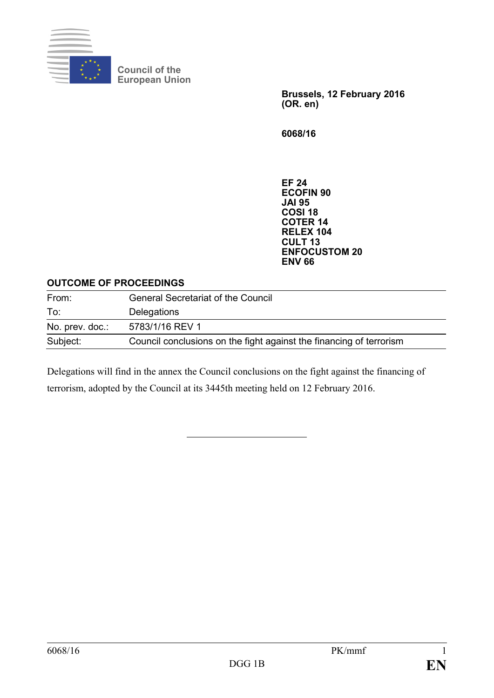

**Council of the European Union**

> **Brussels, 12 February 2016 (OR. en)**

**6068/16**

**EF 24 ECOFIN 90 JAI 95 COSI 18 COTER 14 RELEX 104 CULT 13 ENFOCUSTOM 20 ENV 66**

## **OUTCOME OF PROCEEDINGS**

| From:           | <b>General Secretariat of the Council</b>                           |
|-----------------|---------------------------------------------------------------------|
| To:             | Delegations                                                         |
| No. prev. doc.: | 5783/1/16 REV 1                                                     |
| Subject:        | Council conclusions on the fight against the financing of terrorism |

Delegations will find in the annex the Council conclusions on the fight against the financing of terrorism, adopted by the Council at its 3445th meeting held on 12 February 2016.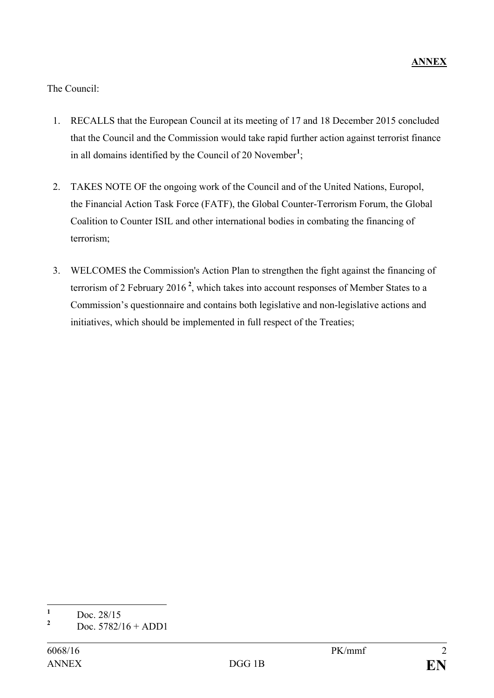The Council:

- 1. RECALLS that the European Council at its meeting of 17 and 18 December 2015 concluded that the Council and the Commission would take rapid further action against terrorist finance in all domains identified by the Council of 20 November**[1](#page-1-0)** ;
- 2. TAKES NOTE OF the ongoing work of the Council and of the United Nations, Europol, the Financial Action Task Force (FATF), the Global Counter-Terrorism Forum, the Global Coalition to Counter ISIL and other international bodies in combating the financing of terrorism;
- 3. WELCOMES the Commission's Action Plan to strengthen the fight against the financing of terrorism of 2 February 2016 **[2](#page-1-1)** , which takes into account responses of Member States to a Commission's questionnaire and contains both legislative and non-legislative actions and initiatives, which should be implemented in full respect of the Treaties;

<span id="page-1-0"></span> $\frac{1}{2}$  Doc. 28/15

<span id="page-1-1"></span>**<sup>2</sup>** Doc. 5782/16 + ADD1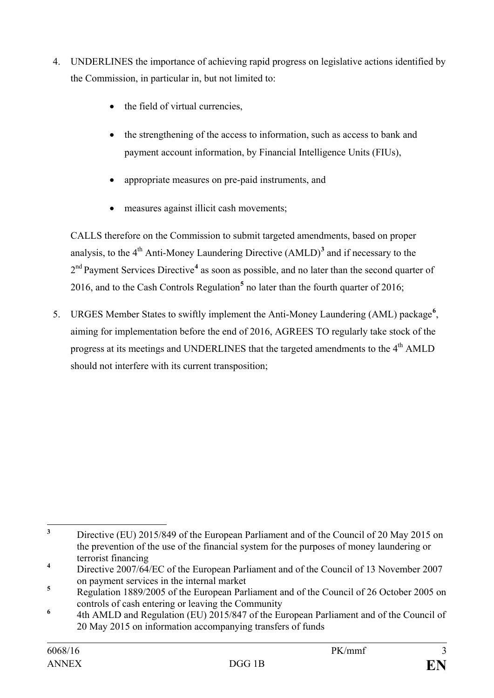- 4. UNDERLINES the importance of achieving rapid progress on legislative actions identified by the Commission, in particular in, but not limited to:
	- the field of virtual currencies,
	- the strengthening of the access to information, such as access to bank and payment account information, by Financial Intelligence Units (FIUs),
	- appropriate measures on pre-paid instruments, and
	- measures against illicit cash movements;

CALLS therefore on the Commission to submit targeted amendments, based on proper analysis, to the  $4<sup>th</sup>$  Anti-Money Laundering Directive  $(AMLD)<sup>3</sup>$  $(AMLD)<sup>3</sup>$  $(AMLD)<sup>3</sup>$  and if necessary to the 2<sup>nd</sup> Payment Services Directive<sup>[4](#page-2-1)</sup> as soon as possible, and no later than the second quarter of 2016, and to the Cash Controls Regulation**[5](#page-2-2)** no later than the fourth quarter of 2016;

5. URGES Member States to swiftly implement the Anti-Money Laundering (AML) package**[6](#page-2-3)** , aiming for implementation before the end of 2016, AGREES TO regularly take stock of the progress at its meetings and UNDERLINES that the targeted amendments to the 4<sup>th</sup> AMLD should not interfere with its current transposition;

<span id="page-2-0"></span><sup>&</sup>lt;sup>3</sup> Directive (EU) 2015/849 of the European Parliament and of the Council of 20 May 2015 on the prevention of the use of the financial system for the purposes of money laundering or terrorist financing

<span id="page-2-1"></span>**<sup>4</sup>** Directive 2007/64/EC of the European Parliament and of the Council of 13 November 2007 on payment services in the internal market

<span id="page-2-2"></span><sup>&</sup>lt;sup>5</sup> Regulation 1889/2005 of the European Parliament and of the Council of 26 October 2005 on controls of cash entering or leaving the Community

<span id="page-2-3"></span>**<sup>6</sup>** 4th AMLD and Regulation (EU) 2015/847 of the European Parliament and of the Council of 20 May 2015 on information accompanying transfers of funds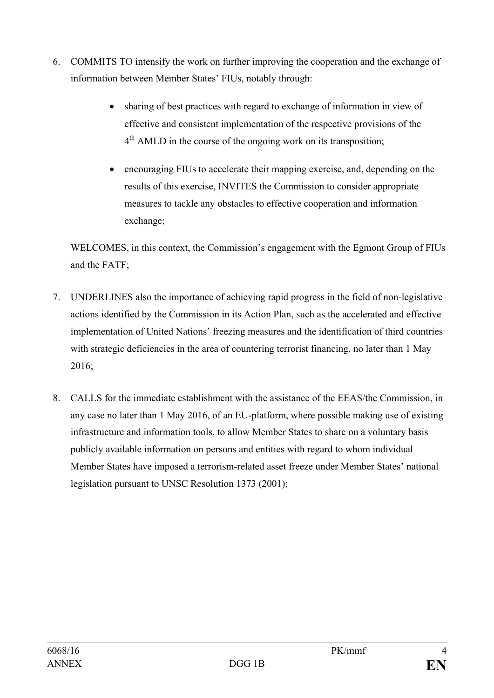- 6. COMMITS TO intensify the work on further improving the cooperation and the exchange of information between Member States' FIUs, notably through:
	- sharing of best practices with regard to exchange of information in view of effective and consistent implementation of the respective provisions of the  $4<sup>th</sup>$  AMLD in the course of the ongoing work on its transposition;
	- encouraging FIUs to accelerate their mapping exercise, and, depending on the results of this exercise, INVITES the Commission to consider appropriate measures to tackle any obstacles to effective cooperation and information exchange;

WELCOMES, in this context, the Commission's engagement with the Egmont Group of FIUs and the FATF;

- 7. UNDERLINES also the importance of achieving rapid progress in the field of non-legislative actions identified by the Commission in its Action Plan, such as the accelerated and effective implementation of United Nations' freezing measures and the identification of third countries with strategic deficiencies in the area of countering terrorist financing, no later than 1 May 2016;
- 8. CALLS for the immediate establishment with the assistance of the EEAS/the Commission, in any case no later than 1 May 2016, of an EU-platform, where possible making use of existing infrastructure and information tools, to allow Member States to share on a voluntary basis publicly available information on persons and entities with regard to whom individual Member States have imposed a terrorism-related asset freeze under Member States' national legislation pursuant to UNSC Resolution 1373 (2001);